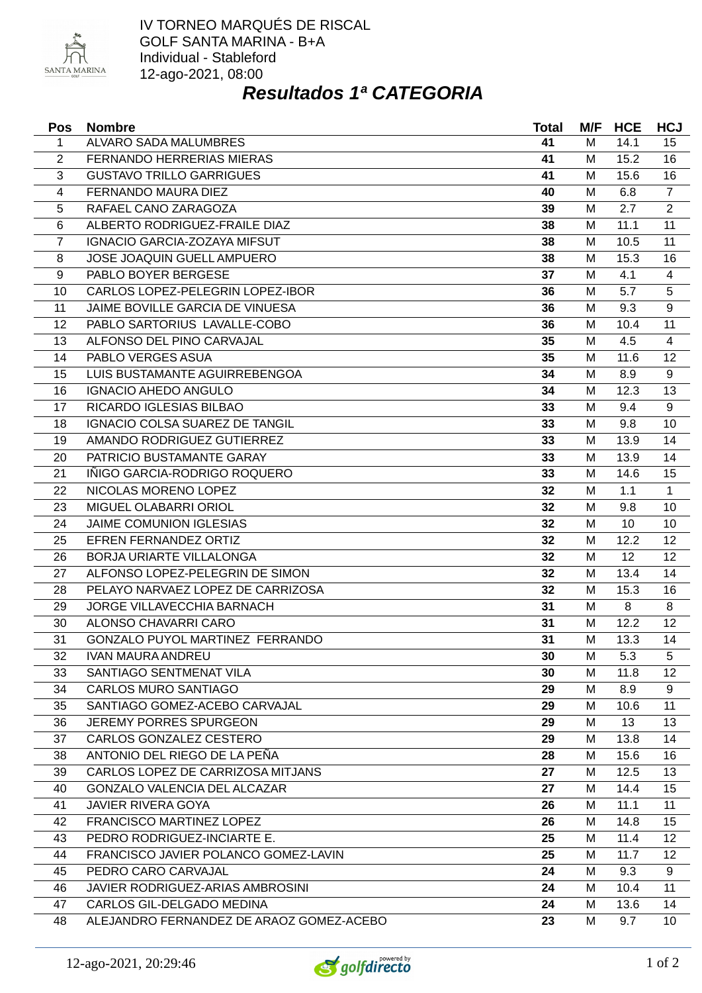

## *Resultados 1ª CATEGORIA*

| <b>Pos</b>     | <b>Nombre</b>                            | <b>Total</b> | M/F | <b>HCE</b> | <b>HCJ</b>     |
|----------------|------------------------------------------|--------------|-----|------------|----------------|
| $\mathbf{1}$   | ALVARO SADA MALUMBRES                    | 41           | M   | 14.1       | 15             |
| $\overline{2}$ | FERNANDO HERRERIAS MIERAS                | 41           | M   | 15.2       | 16             |
| 3              | <b>GUSTAVO TRILLO GARRIGUES</b>          | 41           | M   | 15.6       | 16             |
| 4              | FERNANDO MAURA DIEZ                      | 40           | M   | 6.8        | $\overline{7}$ |
| 5              | RAFAEL CANO ZARAGOZA                     | 39           | M   | 2.7        | $\overline{2}$ |
| 6              | ALBERTO RODRIGUEZ-FRAILE DIAZ            | 38           | M   | 11.1       | 11             |
| $\overline{7}$ | IGNACIO GARCIA-ZOZAYA MIFSUT             | 38           | M   | 10.5       | 11             |
| 8              | JOSE JOAQUIN GUELL AMPUERO               | 38           | M   | 15.3       | 16             |
| 9              | PABLO BOYER BERGESE                      | 37           | M   | 4.1        | $\overline{4}$ |
| 10             | CARLOS LOPEZ-PELEGRIN LOPEZ-IBOR         | 36           | M   | 5.7        | 5              |
| 11             | JAIME BOVILLE GARCIA DE VINUESA          | 36           | M   | 9.3        | 9              |
| 12             | PABLO SARTORIUS LAVALLE-COBO             | 36           | M   | 10.4       | 11             |
| 13             | ALFONSO DEL PINO CARVAJAL                | 35           | M   | 4.5        | 4              |
| 14             | PABLO VERGES ASUA                        | 35           | M   | 11.6       | 12             |
| 15             | LUIS BUSTAMANTE AGUIRREBENGOA            | 34           | M   | 8.9        | 9              |
| 16             | <b>IGNACIO AHEDO ANGULO</b>              | 34           | M   | 12.3       | 13             |
| 17             | RICARDO IGLESIAS BILBAO                  | 33           | M   | 9.4        | 9              |
| 18             | <b>IGNACIO COLSA SUAREZ DE TANGIL</b>    | 33           | M   | 9.8        | 10             |
| 19             | AMANDO RODRIGUEZ GUTIERREZ               | 33           | M   | 13.9       | 14             |
| 20             | PATRICIO BUSTAMANTE GARAY                | 33           | M   | 13.9       | 14             |
| 21             | IÑIGO GARCIA-RODRIGO ROQUERO             | 33           | M   | 14.6       | 15             |
| 22             | NICOLAS MORENO LOPEZ                     | 32           | M   | 1.1        | $\mathbf{1}$   |
| 23             | MIGUEL OLABARRI ORIOL                    | 32           | M   | 9.8        | 10             |
| 24             | <b>JAIME COMUNION IGLESIAS</b>           | 32           | M   | 10         | 10             |
| 25             | EFREN FERNANDEZ ORTIZ                    | 32           | M   | 12.2       | 12             |
| 26             | BORJA URIARTE VILLALONGA                 | 32           | M   | 12         | 12             |
| 27             | ALFONSO LOPEZ-PELEGRIN DE SIMON          | 32           | M   | 13.4       | 14             |
| 28             | PELAYO NARVAEZ LOPEZ DE CARRIZOSA        | 32           | M   | 15.3       | 16             |
| 29             | JORGE VILLAVECCHIA BARNACH               | 31           | M   | 8          | 8              |
| 30             | ALONSO CHAVARRI CARO                     | 31           | M   | 12.2       | 12             |
| 31             | GONZALO PUYOL MARTINEZ FERRANDO          | 31           | M   | 13.3       | 14             |
| 32             | <b>IVAN MAURA ANDREU</b>                 | 30           | M   | 5.3        | 5              |
| 33             | SANTIAGO SENTMENAT VILA                  | 30           | M   | 11.8       | 12             |
| 34             | <b>CARLOS MURO SANTIAGO</b>              | 29           | M   | 8.9        | 9              |
| 35             | SANTIAGO GOMEZ-ACEBO CARVAJAL            | 29           | M   | 10.6       | 11             |
| 36             | <b>JEREMY PORRES SPURGEON</b>            | 29           | M   | 13         | 13             |
| 37             | CARLOS GONZALEZ CESTERO                  | 29           | M   | 13.8       | 14             |
| 38             | ANTONIO DEL RIEGO DE LA PEÑA             | 28           | М   | 15.6       | 16             |
| 39             | CARLOS LOPEZ DE CARRIZOSA MITJANS        | 27           | M   | 12.5       | 13             |
| 40             | <b>GONZALO VALENCIA DEL ALCAZAR</b>      | 27           | м   | 14.4       | 15             |
| 41             | <b>JAVIER RIVERA GOYA</b>                | 26           | M   | 11.1       | 11             |
| 42             | FRANCISCO MARTINEZ LOPEZ                 | 26           | M   | 14.8       | 15             |
| 43             | PEDRO RODRIGUEZ-INCIARTE E.              | 25           | M   | 11.4       | 12             |
| 44             | FRANCISCO JAVIER POLANCO GOMEZ-LAVIN     | 25           | М   | 11.7       | 12             |
|                |                                          |              |     | 9.3        |                |
| 45             | PEDRO CARO CARVAJAL                      | 24<br>24     | м   |            | 9<br>11        |
| 46             | <b>JAVIER RODRIGUEZ-ARIAS AMBROSINI</b>  |              | М   | 10.4       |                |
| 47             | CARLOS GIL-DELGADO MEDINA                | 24           | M   | 13.6       | 14             |
| 48             | ALEJANDRO FERNANDEZ DE ARAOZ GOMEZ-ACEBO | 23           | M   | 9.7        | 10             |